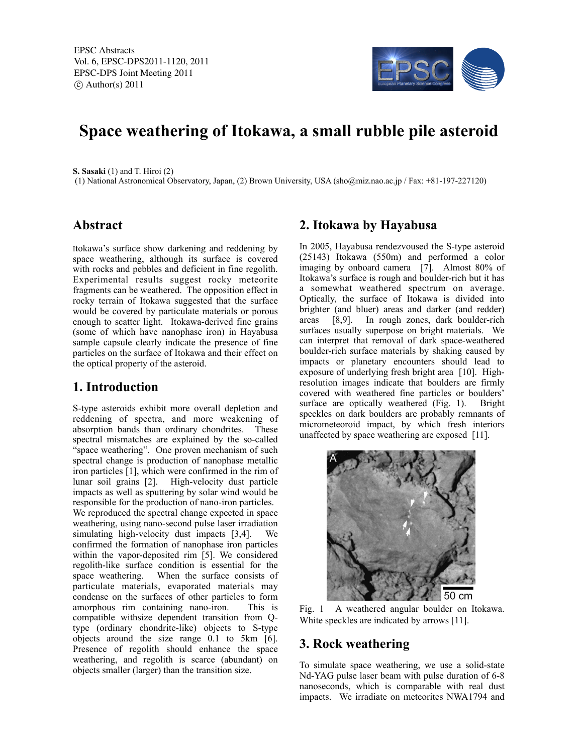

# **Space weathering of Itokawa, a small rubble pile asteroid**

**S. Sasaki** (1) and T. Hiroi (2)

(1) National Astronomical Observatory, Japan, (2) Brown University, USA (sho@miz.nao.ac.jp / Fax: +81-197-227120)

#### **Abstract**

Itokawa's surface show darkening and reddening by space weathering, although its surface is covered with rocks and pebbles and deficient in fine regolith. Experimental results suggest rocky meteorite fragments can be weathered. The opposition effect in rocky terrain of Itokawa suggested that the surface would be covered by particulate materials or porous enough to scatter light. Itokawa-derived fine grains (some of which have nanophase iron) in Hayabusa sample capsule clearly indicate the presence of fine particles on the surface of Itokawa and their effect on the optical property of the asteroid.

## **1. Introduction**

S-type asteroids exhibit more overall depletion and reddening of spectra, and more weakening of absorption bands than ordinary chondrites. These spectral mismatches are explained by the so-called "space weathering". One proven mechanism of such spectral change is production of nanophase metallic iron particles [1], which were confirmed in the rim of lunar soil grains [2]. High-velocity dust particle impacts as well as sputtering by solar wind would be responsible for the production of nano-iron particles. We reproduced the spectral change expected in space weathering, using nano-second pulse laser irradiation simulating high-velocity dust impacts [3,4]. We confirmed the formation of nanophase iron particles within the vapor-deposited rim [5]. We considered regolith-like surface condition is essential for the space weathering. When the surface consists of particulate materials, evaporated materials may condense on the surfaces of other particles to form amorphous rim containing nano-iron. This is compatible withsize dependent transition from Qtype (ordinary chondrite-like) objects to S-type objects around the size range 0.1 to 5km [6]. Presence of regolith should enhance the space weathering, and regolith is scarce (abundant) on objects smaller (larger) than the transition size.

## **2. Itokawa by Hayabusa**

In 2005, Hayabusa rendezvoused the S-type asteroid (25143) Itokawa (550m) and performed a color imaging by onboard camera [7]. Almost 80% of Itokawa's surface is rough and boulder-rich but it has a somewhat weathered spectrum on average. Optically, the surface of Itokawa is divided into brighter (and bluer) areas and darker (and redder) areas [8,9]. In rough zones, dark boulder-rich surfaces usually superpose on bright materials. We can interpret that removal of dark space-weathered boulder-rich surface materials by shaking caused by impacts or planetary encounters should lead to exposure of underlying fresh bright area [10]. Highresolution images indicate that boulders are firmly covered with weathered fine particles or boulders' surface are optically weathered (Fig. 1). Bright speckles on dark boulders are probably remnants of micrometeoroid impact, by which fresh interiors unaffected by space weathering are exposed [11].



Fig. 1 A weathered angular boulder on Itokawa. White speckles are indicated by arrows [11].

## **3. Rock weathering**

To simulate space weathering, we use a solid-state Nd-YAG pulse laser beam with pulse duration of 6-8 nanoseconds, which is comparable with real dust impacts. We irradiate on meteorites NWA1794 and